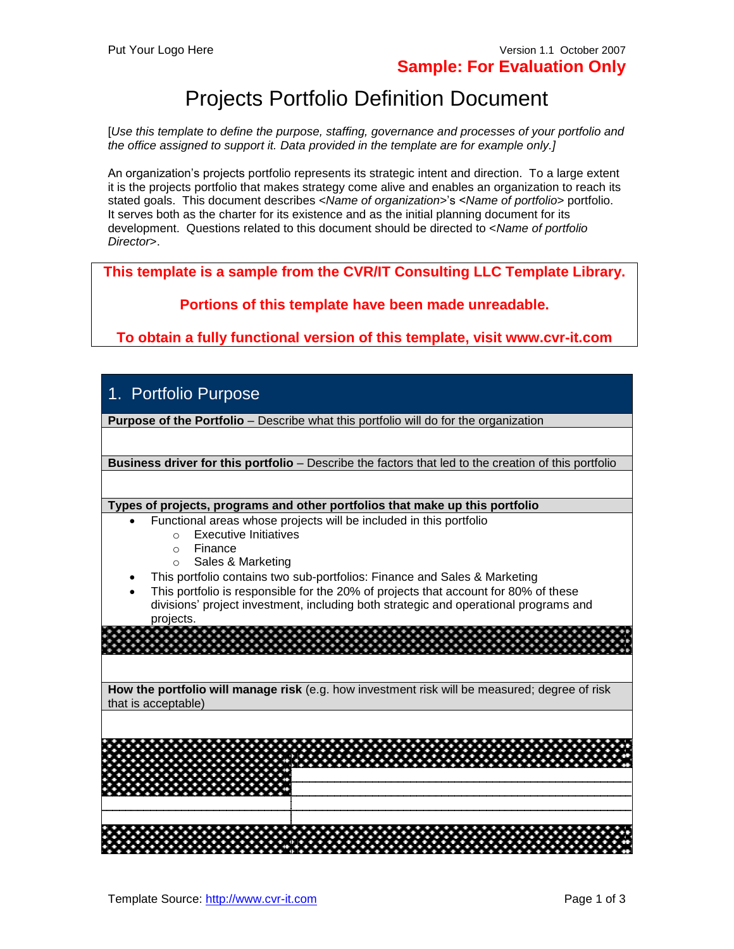# Projects Portfolio Definition Document

[*Use this template to define the purpose, staffing, governance and processes of your portfolio and the office assigned to support it. Data provided in the template are for example only.]*

An organization's projects portfolio represents its strategic intent and direction. To a large extent it is the projects portfolio that makes strategy come alive and enables an organization to reach its stated goals. This document describes <*Name of organization>*'s <*Name of portfolio*> portfolio. It serves both as the charter for its existence and as the initial planning document for its development. Questions related to this document should be directed to <*Name of portfolio Director*>.

**This template is a sample from the CVR/IT Consulting LLC Template Library.**

**Portions of this template have been made unreadable.**

**To obtain a fully functional version of this template, visit www.cvr-it.com**

### 1. Portfolio Purpose

**Purpose of the Portfolio** – Describe what this portfolio will do for the organization

**Business driver for this portfolio** – Describe the factors that led to the creation of this portfolio

**Types of projects, programs and other portfolios that make up this portfolio**

- Functional areas whose projects will be included in this portfolio
	- o Executive Initiatives
	- o Finance
	- o Sales & Marketing
- This portfolio contains two sub-portfolios: Finance and Sales & Marketing
- This portfolio is responsible for the 20% of projects that account for 80% of these divisions' project investment, including both strategic and operational programs and projects.

**How the portfolio will manage risk** (e.g. how investment risk will be measured; degree of risk that is acceptable)

| <b>COLLEGE</b> | * * * * * * * * * * * * * * * * * * | . <u>.</u>                             | . |   |  |   |  |  |                   |            |  |   |  |  |  |                   |            |  |  |   |                   |  |  |  |  |  |                   |                   |  |  |  |
|----------------|-------------------------------------|----------------------------------------|---|---|--|---|--|--|-------------------|------------|--|---|--|--|--|-------------------|------------|--|--|---|-------------------|--|--|--|--|--|-------------------|-------------------|--|--|--|
|                |                                     | * * * * * * * * * * * * * * * *<br>. . | . |   |  |   |  |  |                   | <b>COL</b> |  | . |  |  |  | <b>CONTRACTOR</b> | <b>COL</b> |  |  | . | <b>CONTRACTOR</b> |  |  |  |  |  | <b>COLLEGE</b>    | <b>CONTRACTOR</b> |  |  |  |
|                |                                     |                                        |   | . |  | . |  |  | <b>CONTRACTOR</b> |            |  |   |  |  |  | . <u>.</u>        |            |  |  |   |                   |  |  |  |  |  | <b>CONTRACTOR</b> |                   |  |  |  |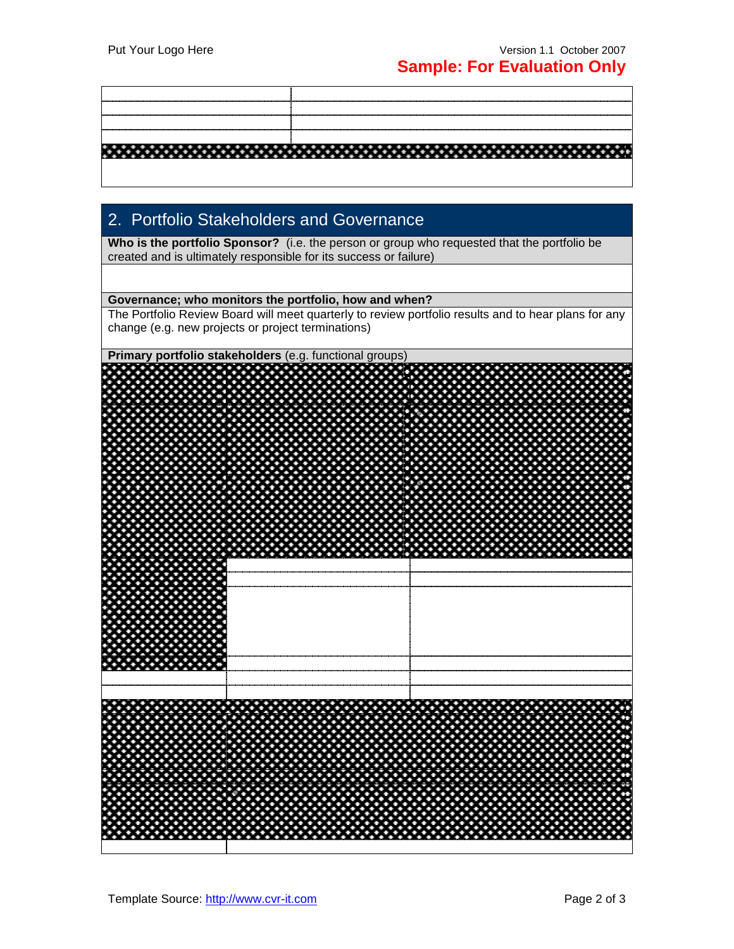## 2. Portfolio Stakeholders and Governance

**Who is the portfolio Sponsor?** (i.e. the person or group who requested that the portfolio be created and is ultimately responsible for its success or failure)

### **Governance; who monitors the portfolio, how and when?**

The Portfolio Review Board will meet quarterly to review portfolio results and to hear plans for any change (e.g. new projects or project terminations)

**Primary portfolio stakeholders** (e.g. functional groups)